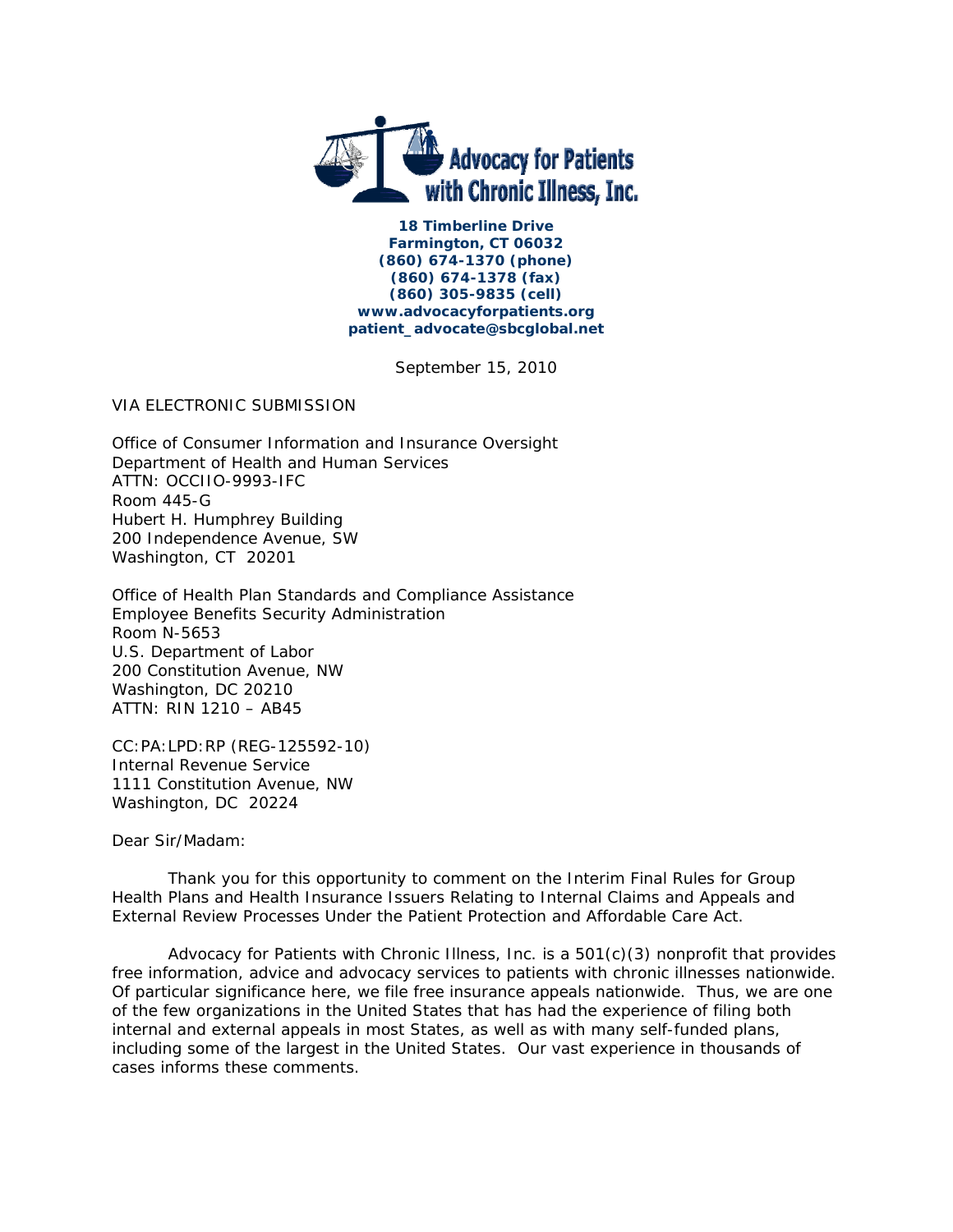

**18 Timberline Drive Farmington, CT 06032 (860) 674-1370 (phone) (860) 674-1378 (fax) (860) 305-9835 (cell) www.advocacyforpatients.org patient\_advocate@sbcglobal.net** 

September 15, 2010

VIA ELECTRONIC SUBMISSION

Office of Consumer Information and Insurance Oversight Department of Health and Human Services ATTN: OCCIIO-9993-IFC Room 445-G Hubert H. Humphrey Building 200 Independence Avenue, SW Washington, CT 20201

Office of Health Plan Standards and Compliance Assistance Employee Benefits Security Administration Room N-5653 U.S. Department of Labor 200 Constitution Avenue, NW Washington, DC 20210 ATTN: RIN 1210 – AB45

CC:PA:LPD:RP (REG-125592-10) Internal Revenue Service 1111 Constitution Avenue, NW Washington, DC 20224

Dear Sir/Madam:

 Thank you for this opportunity to comment on the Interim Final Rules for Group Health Plans and Health Insurance Issuers Relating to Internal Claims and Appeals and External Review Processes Under the Patient Protection and Affordable Care Act.

Advocacy for Patients with Chronic Illness, Inc. is a  $501(c)(3)$  nonprofit that provides free information, advice and advocacy services to patients with chronic illnesses nationwide. Of particular significance here, we file free insurance appeals nationwide. Thus, we are one of the few organizations in the United States that has had the experience of filing both internal and external appeals in most States, as well as with many self-funded plans, including some of the largest in the United States. Our vast experience in thousands of cases informs these comments.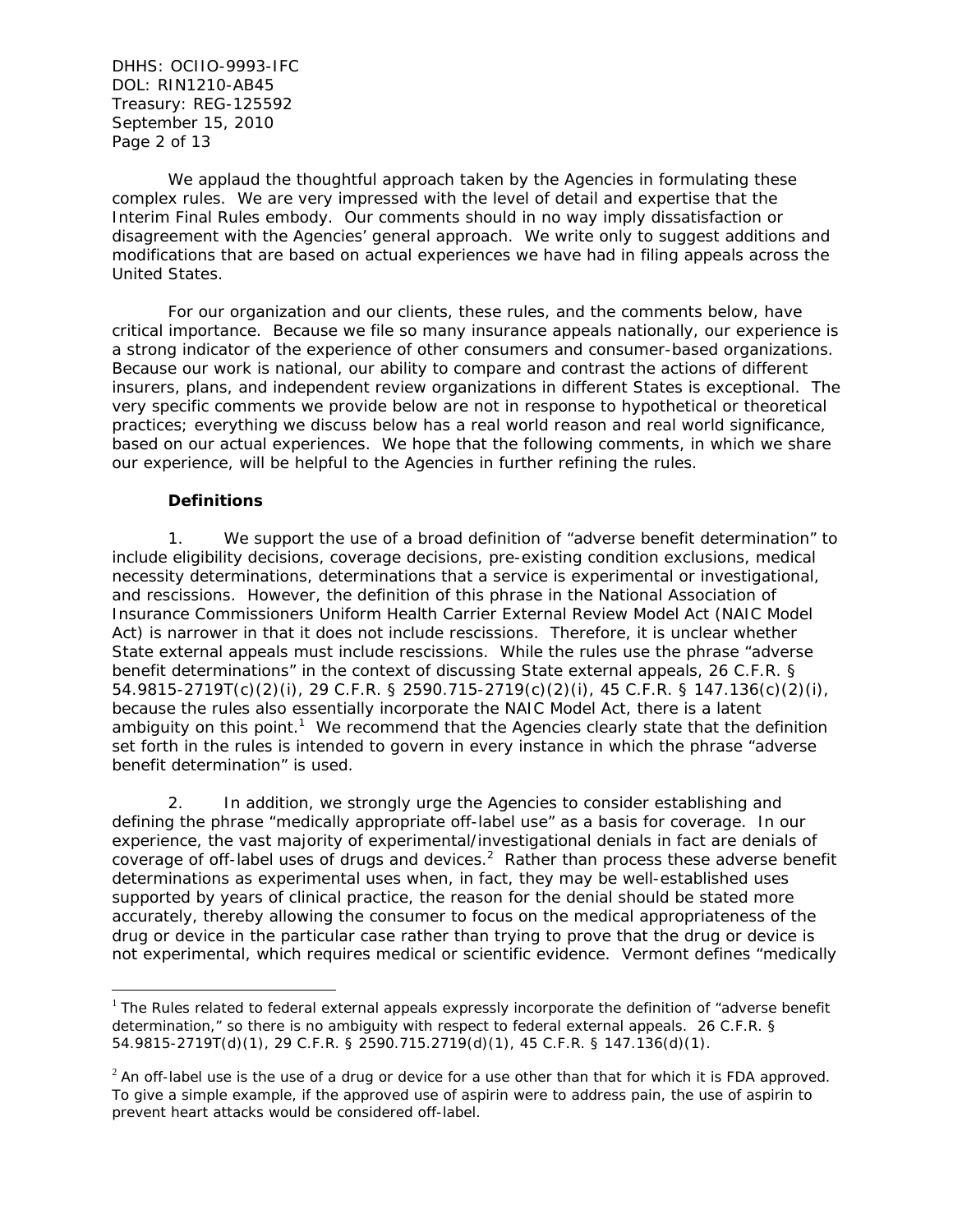DHHS: OCIIO-9993-IFC DOL: RIN1210-AB45 Treasury: REG-125592 September 15, 2010 Page 2 of 13

 We applaud the thoughtful approach taken by the Agencies in formulating these complex rules. We are very impressed with the level of detail and expertise that the Interim Final Rules embody. Our comments should in no way imply dissatisfaction or disagreement with the Agencies' general approach. We write only to suggest additions and modifications that are based on actual experiences we have had in filing appeals across the United States.

 For our organization and our clients, these rules, and the comments below, have critical importance. Because we file so many insurance appeals nationally, our experience is a strong indicator of the experience of other consumers and consumer-based organizations. Because our work is national, our ability to compare and contrast the actions of different insurers, plans, and independent review organizations in different States is exceptional. The very specific comments we provide below are not in response to hypothetical or theoretical practices; everything we discuss below has a real world reason and real world significance, based on our actual experiences. We hope that the following comments, in which we share our experience, will be helpful to the Agencies in further refining the rules.

## **Definitions**

 $\overline{a}$ 

1. We support the use of a broad definition of "adverse benefit determination" to include eligibility decisions, coverage decisions, pre-existing condition exclusions, medical necessity determinations, determinations that a service is experimental or investigational, and rescissions. However, the definition of this phrase in the National Association of Insurance Commissioners Uniform Health Carrier External Review Model Act (NAIC Model Act) is narrower in that it does not include rescissions. Therefore, it is unclear whether State external appeals must include rescissions. While the rules use the phrase "adverse benefit determinations" in the context of discussing State external appeals, 26 C.F.R. § 54.9815-2719T(c)(2)(i), 29 C.F.R. § 2590.715-2719(c)(2)(i), 45 C.F.R. § 147.136(c)(2)(i), because the rules also essentially incorporate the NAIC Model Act, there is a latent ambiguity on this point.<sup>1</sup> We recommend that the Agencies clearly state that the definition set forth in the rules is intended to govern in every instance in which the phrase "adverse benefit determination" is used.

2. In addition, we strongly urge the Agencies to consider establishing and defining the phrase "medically appropriate off-label use" as a basis for coverage. In our experience, the vast majority of experimental/investigational denials in fact are denials of coverage of off-label uses of drugs and devices.<sup>2</sup> Rather than process these adverse benefit determinations as experimental uses when, in fact, they may be well-established uses supported by years of clinical practice, the reason for the denial should be stated more accurately, thereby allowing the consumer to focus on the medical appropriateness of the drug or device in the particular case rather than trying to prove that the drug or device is not experimental, which requires medical or scientific evidence. Vermont defines "medically

 $1$  The Rules related to federal external appeals expressly incorporate the definition of "adverse benefit determination," so there is no ambiguity with respect to federal external appeals. 26 C.F.R. § 54.9815-2719T(d)(1), 29 C.F.R. § 2590.715.2719(d)(1), 45 C.F.R. § 147.136(d)(1).

 $2$  An off-label use is the use of a drug or device for a use other than that for which it is FDA approved. To give a simple example, if the approved use of aspirin were to address pain, the use of aspirin to prevent heart attacks would be considered off-label.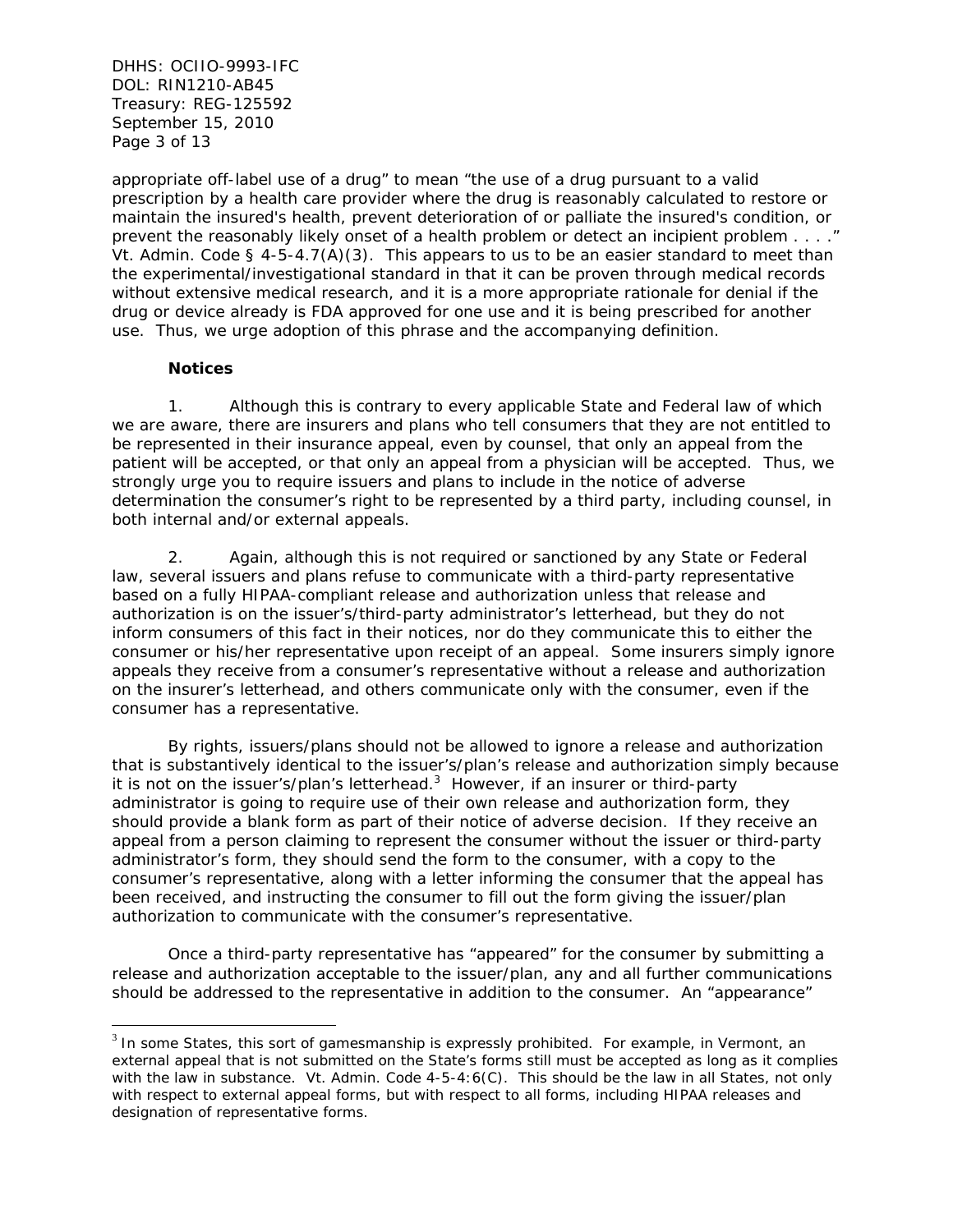DHHS: OCIIO-9993-IFC DOL: RIN1210-AB45 Treasury: REG-125592 September 15, 2010 Page 3 of 13

appropriate off-label use of a drug" to mean "the use of a drug pursuant to a valid prescription by a health care provider where the drug is reasonably calculated to restore or maintain the insured's health, prevent deterioration of or palliate the insured's condition, or prevent the reasonably likely onset of a health problem or detect an incipient problem . . . ." Vt. Admin. Code § 4-5-4.7(A)(3). This appears to us to be an easier standard to meet than the experimental/investigational standard in that it can be proven through medical records without extensive medical research, and it is a more appropriate rationale for denial if the drug or device already is FDA approved for one use and it is being prescribed for another use. Thus, we urge adoption of this phrase and the accompanying definition.

# **Notices**

 $\overline{a}$ 

1. Although this is contrary to every applicable State and Federal law of which we are aware, there are insurers and plans who tell consumers that they are not entitled to be represented in their insurance appeal, even by counsel, that only an appeal from the patient will be accepted, or that only an appeal from a physician will be accepted. Thus, we strongly urge you to require issuers and plans to include in the notice of adverse determination the consumer's right to be represented by a third party, including counsel, in both internal and/or external appeals.

2. Again, although this is not required or sanctioned by any State or Federal law, several issuers and plans refuse to communicate with a third-party representative based on a fully HIPAA-compliant release and authorization unless that release and authorization is on the issuer's/third-party administrator's letterhead, but they do not inform consumers of this fact in their notices, nor do they communicate this to either the consumer or his/her representative upon receipt of an appeal. Some insurers simply ignore appeals they receive from a consumer's representative without a release and authorization on the insurer's letterhead, and others communicate only with the consumer, even if the consumer has a representative.

By rights, issuers/plans should not be allowed to ignore a release and authorization that is substantively identical to the issuer's/plan's release and authorization simply because it is not on the issuer's/plan's letterhead. $3$  However, if an insurer or third-party administrator is going to require use of their own release and authorization form, they should provide a blank form as part of their notice of adverse decision. If they receive an appeal from a person claiming to represent the consumer without the issuer or third-party administrator's form, they should send the form to the consumer, with a copy to the consumer's representative, along with a letter informing the consumer that the appeal has been received, and instructing the consumer to fill out the form giving the issuer/plan authorization to communicate with the consumer's representative.

Once a third-party representative has "appeared" for the consumer by submitting a release and authorization acceptable to the issuer/plan, any and all further communications should be addressed to the representative in addition to the consumer. An "appearance"

 $3$  In some States, this sort of gamesmanship is expressly prohibited. For example, in Vermont, an external appeal that is not submitted on the State's forms still must be accepted as long as it complies with the law in substance. Vt. Admin. Code 4-5-4:6(C). This should be the law in all States, not only with respect to external appeal forms, but with respect to all forms, including HIPAA releases and designation of representative forms.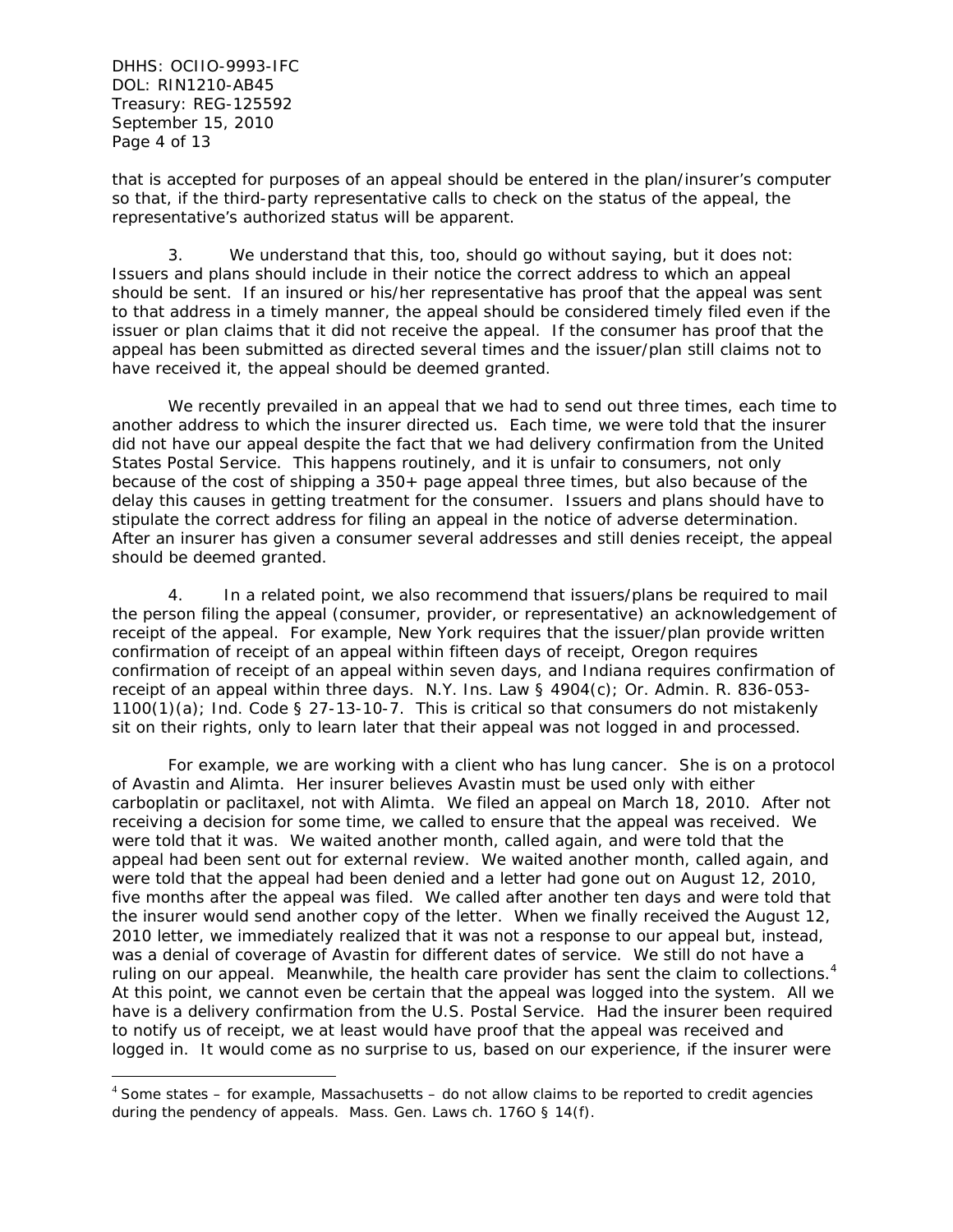DHHS: OCIIO-9993-IFC DOL: RIN1210-AB45 Treasury: REG-125592 September 15, 2010 Page 4 of 13

 $\overline{a}$ 

that is accepted for purposes of an appeal should be entered in the plan/insurer's computer so that, if the third-party representative calls to check on the status of the appeal, the representative's authorized status will be apparent.

3. We understand that this, too, should go without saying, but it does not: Issuers and plans should include in their notice the correct address to which an appeal should be sent. If an insured or his/her representative has proof that the appeal was sent to that address in a timely manner, the appeal should be considered timely filed even if the issuer or plan claims that it did not receive the appeal. If the consumer has proof that the appeal has been submitted as directed several times and the issuer/plan still claims not to have received it, the appeal should be deemed granted.

We recently prevailed in an appeal that we had to send out three times, each time to another address to which the insurer directed us. Each time, we were told that the insurer did not have our appeal despite the fact that we had delivery confirmation from the United States Postal Service. This happens routinely, and it is unfair to consumers, not only because of the cost of shipping a 350+ page appeal three times, but also because of the delay this causes in getting treatment for the consumer. Issuers and plans should have to stipulate the correct address for filing an appeal in the notice of adverse determination. After an insurer has given a consumer several addresses and still denies receipt, the appeal should be deemed granted.

4. In a related point, we also recommend that issuers/plans be required to mail the person filing the appeal (consumer, provider, or representative) an acknowledgement of receipt of the appeal. For example, New York requires that the issuer/plan provide written confirmation of receipt of an appeal within fifteen days of receipt, Oregon requires confirmation of receipt of an appeal within seven days, and Indiana requires confirmation of receipt of an appeal within three days. N.Y. Ins. Law § 4904(c); Or. Admin. R. 836-053-  $1100(1)(a)$ ; Ind. Code § 27-13-10-7. This is critical so that consumers do not mistakenly sit on their rights, only to learn later that their appeal was not logged in and processed.

For example, we are working with a client who has lung cancer. She is on a protocol of Avastin and Alimta. Her insurer believes Avastin must be used only with either carboplatin or paclitaxel, not with Alimta. We filed an appeal on March 18, 2010. After not receiving a decision for some time, we called to ensure that the appeal was received. We were told that it was. We waited another month, called again, and were told that the appeal had been sent out for external review. We waited another month, called again, and were told that the appeal had been denied and a letter had gone out on August 12, 2010, five months after the appeal was filed. We called after another ten days and were told that the insurer would send another copy of the letter. When we finally received the August 12, 2010 letter, we immediately realized that it was not a response to our appeal but, instead, was a denial of coverage of Avastin for different dates of service. We still do not have a ruling on our appeal. Meanwhile, the health care provider has sent the claim to collections.<sup>4</sup> At this point, we cannot even be certain that the appeal was logged into the system. All we have is a delivery confirmation from the U.S. Postal Service. Had the insurer been required to notify us of receipt, we at least would have proof that the appeal was received and logged in. It would come as no surprise to us, based on our experience, if the insurer were

 $4$  Some states – for example, Massachusetts – do not allow claims to be reported to credit agencies during the pendency of appeals. Mass. Gen. Laws ch. 176O § 14(f).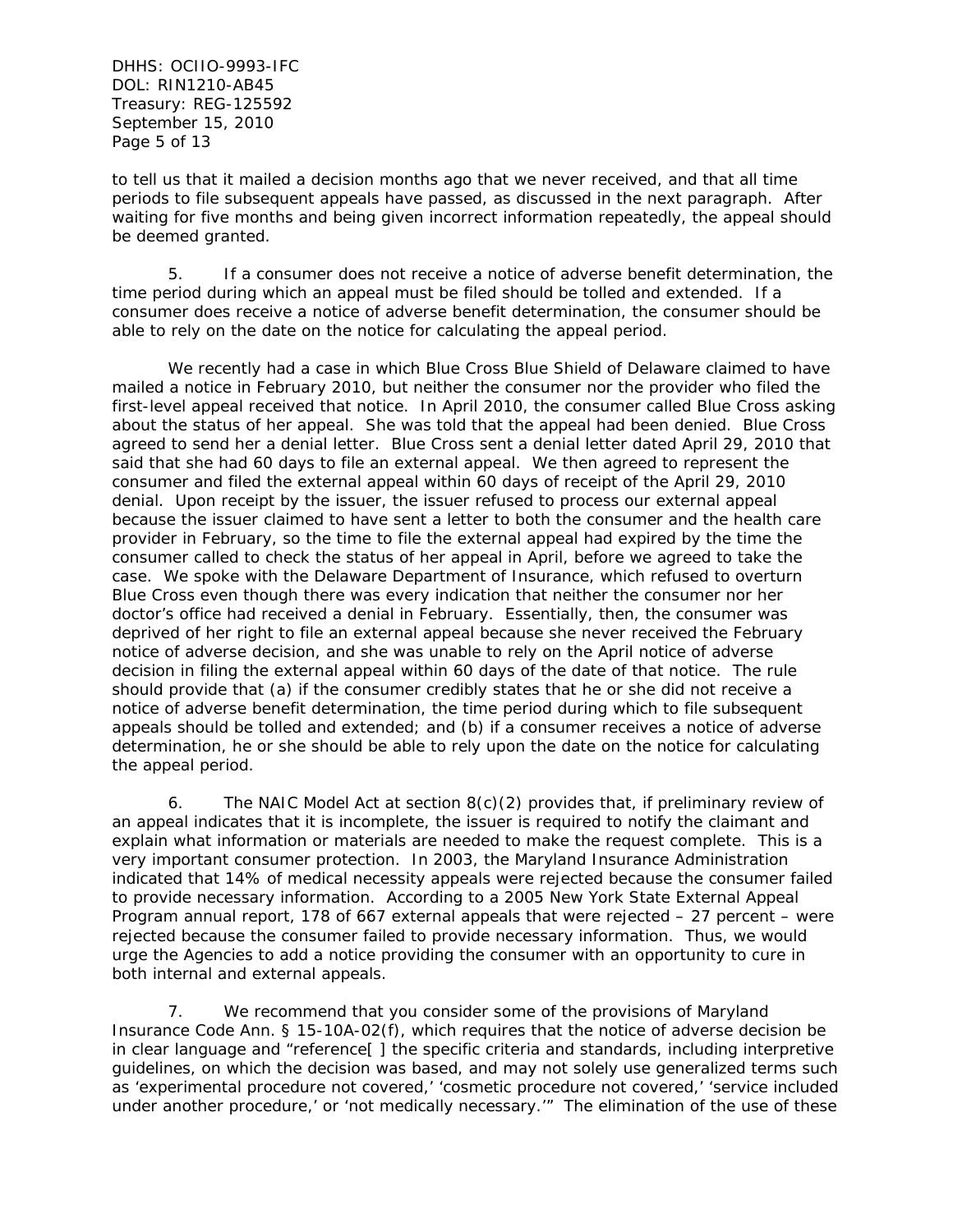DHHS: OCIIO-9993-IFC DOL: RIN1210-AB45 Treasury: REG-125592 September 15, 2010 Page 5 of 13

to tell us that it mailed a decision months ago that we never received, and that all time periods to file subsequent appeals have passed, as discussed in the next paragraph. After waiting for five months and being given incorrect information repeatedly, the appeal should be deemed granted.

5. If a consumer does not receive a notice of adverse benefit determination, the time period during which an appeal must be filed should be tolled and extended. If a consumer does receive a notice of adverse benefit determination, the consumer should be able to rely on the date on the notice for calculating the appeal period.

We recently had a case in which Blue Cross Blue Shield of Delaware claimed to have mailed a notice in February 2010, but neither the consumer nor the provider who filed the first-level appeal received that notice. In April 2010, the consumer called Blue Cross asking about the status of her appeal. She was told that the appeal had been denied. Blue Cross agreed to send her a denial letter. Blue Cross sent a denial letter dated April 29, 2010 that said that she had 60 days to file an external appeal. We then agreed to represent the consumer and filed the external appeal within 60 days of receipt of the April 29, 2010 denial. Upon receipt by the issuer, the issuer refused to process our external appeal because the issuer claimed to have sent a letter to both the consumer and the health care provider in February, so the time to file the external appeal had expired by the time the consumer called to check the status of her appeal in April, before we agreed to take the case. We spoke with the Delaware Department of Insurance, which refused to overturn Blue Cross even though there was every indication that neither the consumer nor her doctor's office had received a denial in February. Essentially, then, the consumer was deprived of her right to file an external appeal because she never received the February notice of adverse decision, and she was unable to rely on the April notice of adverse decision in filing the external appeal within 60 days of the date of that notice. The rule should provide that (a) if the consumer credibly states that he or she did not receive a notice of adverse benefit determination, the time period during which to file subsequent appeals should be tolled and extended; and (b) if a consumer receives a notice of adverse determination, he or she should be able to rely upon the date on the notice for calculating the appeal period.

6. The NAIC Model Act at section  $8(c)(2)$  provides that, if preliminary review of an appeal indicates that it is incomplete, the issuer is required to notify the claimant and explain what information or materials are needed to make the request complete. This is a very important consumer protection. In 2003, the Maryland Insurance Administration indicated that 14% of medical necessity appeals were rejected because the consumer failed to provide necessary information. According to a 2005 New York State External Appeal Program annual report, 178 of 667 external appeals that were rejected – 27 percent – were rejected because the consumer failed to provide necessary information. Thus, we would urge the Agencies to add a notice providing the consumer with an opportunity to cure in both internal and external appeals.

7. We recommend that you consider some of the provisions of Maryland Insurance Code Ann. § 15-10A-02(f), which requires that the notice of adverse decision be in clear language and "reference[ ] the specific criteria and standards, including interpretive guidelines, on which the decision was based, and may not solely use generalized terms such as 'experimental procedure not covered,' 'cosmetic procedure not covered,' 'service included under another procedure,' or 'not medically necessary.'" The elimination of the use of these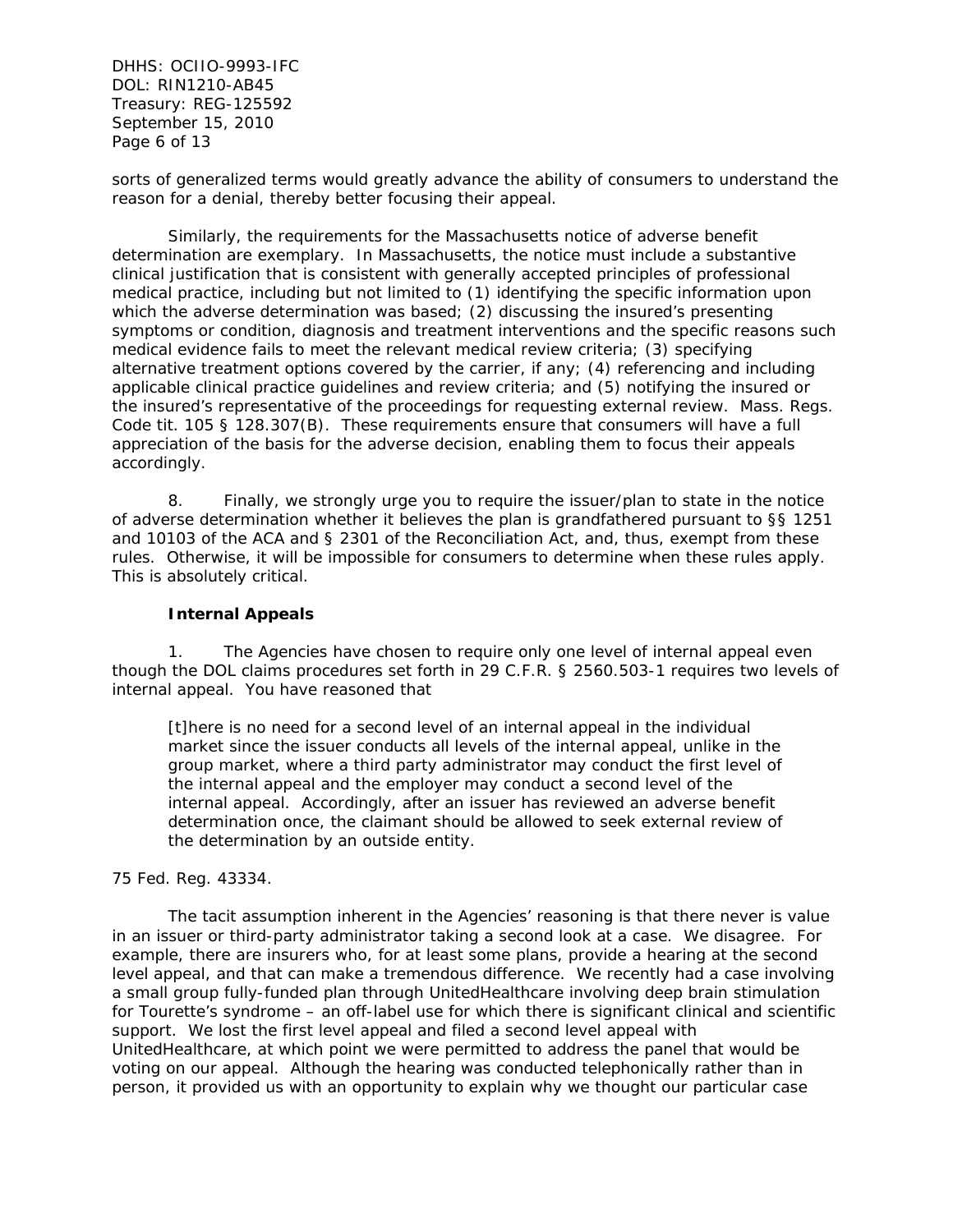DHHS: OCIIO-9993-IFC DOL: RIN1210-AB45 Treasury: REG-125592 September 15, 2010 Page 6 of 13

sorts of generalized terms would greatly advance the ability of consumers to understand the reason for a denial, thereby better focusing their appeal.

Similarly, the requirements for the Massachusetts notice of adverse benefit determination are exemplary. In Massachusetts, the notice must include a substantive clinical justification that is consistent with generally accepted principles of professional medical practice, including but not limited to (1) identifying the specific information upon which the adverse determination was based; (2) discussing the insured's presenting symptoms or condition, diagnosis and treatment interventions and the specific reasons such medical evidence fails to meet the relevant medical review criteria; (3) specifying alternative treatment options covered by the carrier, if any; (4) referencing and including applicable clinical practice guidelines and review criteria; and (5) notifying the insured or the insured's representative of the proceedings for requesting external review. Mass. Regs. Code tit. 105 § 128.307(B). These requirements ensure that consumers will have a full appreciation of the basis for the adverse decision, enabling them to focus their appeals accordingly.

8. Finally, we strongly urge you to require the issuer/plan to state in the notice of adverse determination whether it believes the plan is grandfathered pursuant to §§ 1251 and 10103 of the ACA and § 2301 of the Reconciliation Act, and, thus, exempt from these rules. Otherwise, it will be impossible for consumers to determine when these rules apply. This is absolutely critical.

#### **Internal Appeals**

1. The Agencies have chosen to require only one level of internal appeal even though the DOL claims procedures set forth in 29 C.F.R. § 2560.503-1 requires two levels of internal appeal. You have reasoned that

[t]here is no need for a second level of an internal appeal in the individual market since the issuer conducts all levels of the internal appeal, unlike in the group market, where a third party administrator may conduct the first level of the internal appeal and the employer may conduct a second level of the internal appeal. Accordingly, after an issuer has reviewed an adverse benefit determination once, the claimant should be allowed to seek external review of the determination by an outside entity.

### 75 Fed. Reg. 43334.

 The tacit assumption inherent in the Agencies' reasoning is that there never is value in an issuer or third-party administrator taking a second look at a case. We disagree. For example, there are insurers who, for at least some plans, provide a hearing at the second level appeal, and that can make a tremendous difference. We recently had a case involving a small group fully-funded plan through UnitedHealthcare involving deep brain stimulation for Tourette's syndrome – an off-label use for which there is significant clinical and scientific support. We lost the first level appeal and filed a second level appeal with UnitedHealthcare, at which point we were permitted to address the panel that would be voting on our appeal. Although the hearing was conducted telephonically rather than in person, it provided us with an opportunity to explain why we thought our particular case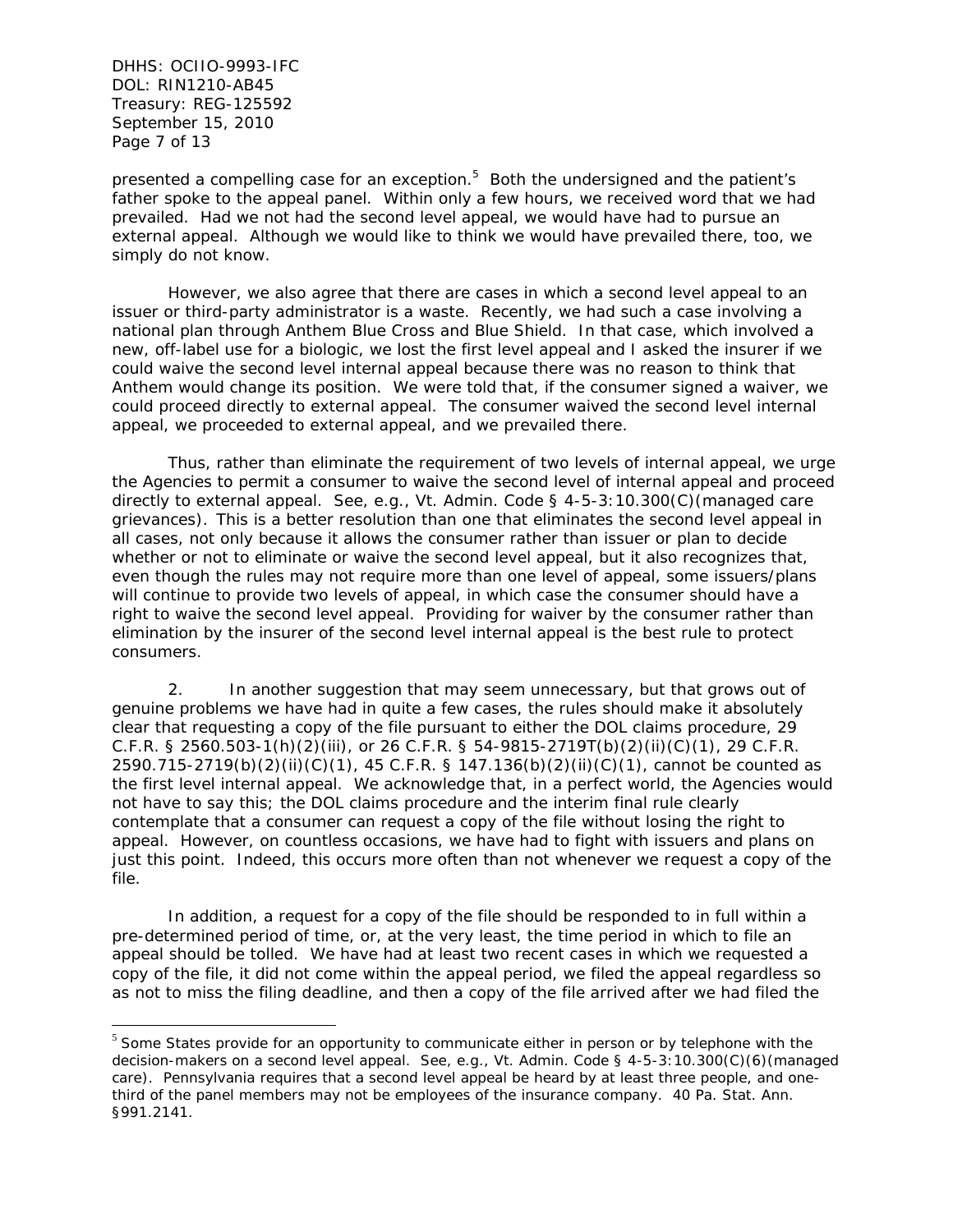DHHS: OCIIO-9993-IFC DOL: RIN1210-AB45 Treasury: REG-125592 September 15, 2010 Page 7 of 13

 $\overline{a}$ 

presented a compelling case for an exception.<sup>5</sup> Both the undersigned and the patient's father spoke to the appeal panel. Within only a few hours, we received word that we had prevailed. Had we not had the second level appeal, we would have had to pursue an external appeal. Although we would like to think we would have prevailed there, too, we simply do not know.

 However, we also agree that there are cases in which a second level appeal to an issuer or third-party administrator is a waste. Recently, we had such a case involving a national plan through Anthem Blue Cross and Blue Shield. In that case, which involved a new, off-label use for a biologic, we lost the first level appeal and I asked the insurer if we could waive the second level internal appeal because there was no reason to think that Anthem would change its position. We were told that, if the consumer signed a waiver, we could proceed directly to external appeal. The consumer waived the second level internal appeal, we proceeded to external appeal, and we prevailed there.

 Thus, rather than eliminate the requirement of two levels of internal appeal, we urge the Agencies to permit a consumer to waive the second level of internal appeal and proceed directly to external appeal. *See, e.g.,* Vt. Admin. Code § 4-5-3:10.300(C)(managed care grievances). This is a better resolution than one that eliminates the second level appeal in all cases, not only because it allows the consumer rather than issuer or plan to decide whether or not to eliminate or waive the second level appeal, but it also recognizes that, even though the rules may not require more than one level of appeal, some issuers/plans will continue to provide two levels of appeal, in which case the consumer should have a right to waive the second level appeal. Providing for waiver by the consumer rather than elimination by the insurer of the second level internal appeal is the best rule to protect consumers.

2. In another suggestion that may seem unnecessary, but that grows out of genuine problems we have had in quite a few cases, the rules should make it absolutely clear that requesting a copy of the file pursuant to either the DOL claims procedure, 29 C.F.R. § 2560.503-1(h)(2)(iii), or 26 C.F.R. § 54-9815-2719T(b)(2)(ii)(C)(1), 29 C.F.R. 2590.715-2719(b)(2)(ii)(C)(1), 45 C.F.R. § 147.136(b)(2)(ii)(C)(1), cannot be counted as the first level internal appeal. We acknowledge that, in a perfect world, the Agencies would not have to say this; the DOL claims procedure and the interim final rule clearly contemplate that a consumer can request a copy of the file without losing the right to appeal. However, on countless occasions, we have had to fight with issuers and plans on just this point. Indeed, this occurs more often than not whenever we request a copy of the file.

In addition, a request for a copy of the file should be responded to in full within a pre-determined period of time, or, at the very least, the time period in which to file an appeal should be tolled. We have had at least two recent cases in which we requested a copy of the file, it did not come within the appeal period, we filed the appeal regardless so as not to miss the filing deadline, and then a copy of the file arrived after we had filed the

 $5$  Some States provide for an opportunity to communicate either in person or by telephone with the decision-makers on a second level appeal. *See, e.g.,* Vt. Admin. Code § 4-5-3:10.300(C)(6)(managed care). Pennsylvania requires that a second level appeal be heard by at least three people, and onethird of the panel members may not be employees of the insurance company. 40 Pa. Stat. Ann. §991.2141.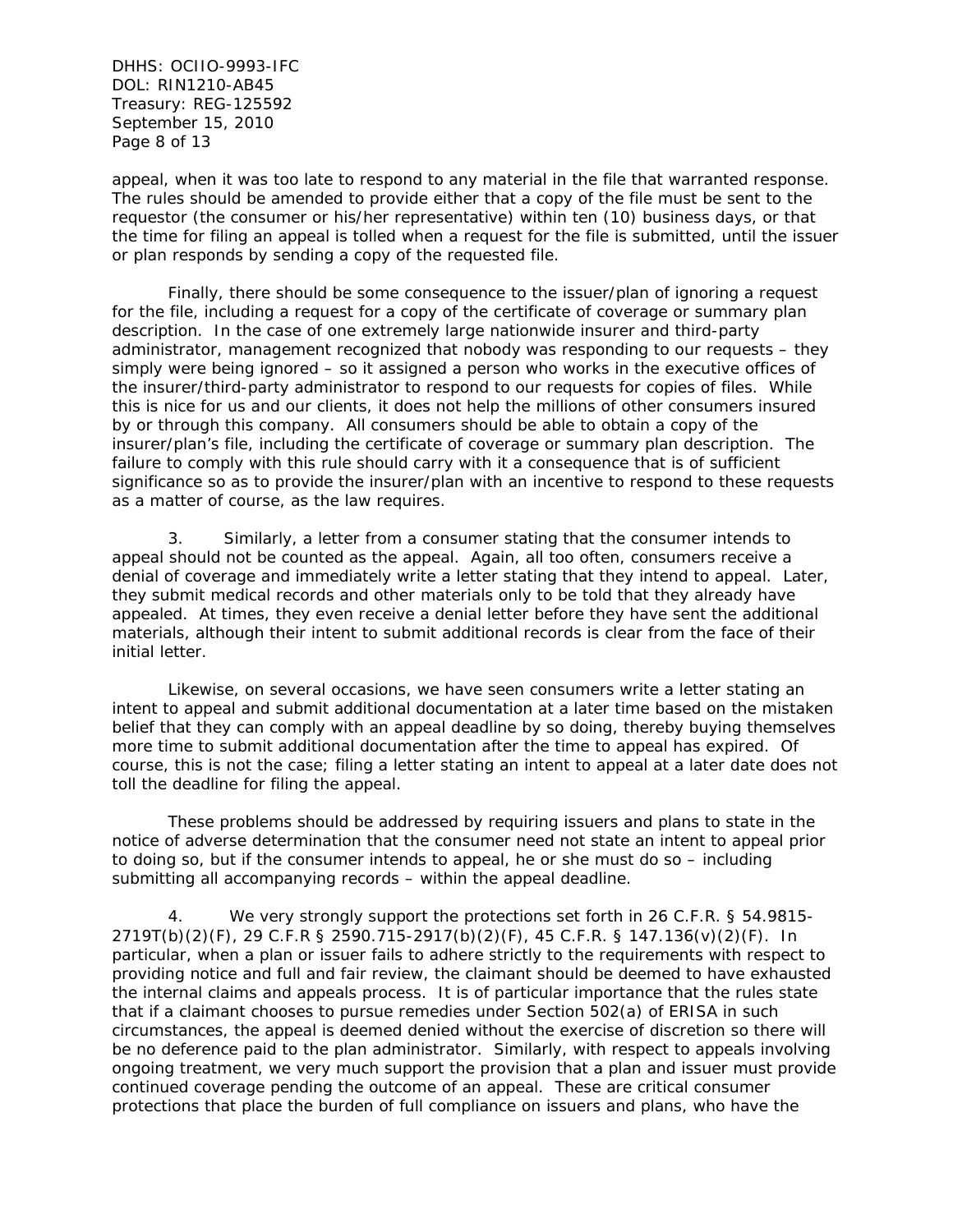DHHS: OCIIO-9993-IFC DOL: RIN1210-AB45 Treasury: REG-125592 September 15, 2010 Page 8 of 13

appeal, when it was too late to respond to any material in the file that warranted response. The rules should be amended to provide either that a copy of the file must be sent to the requestor (the consumer or his/her representative) within ten (10) business days, or that the time for filing an appeal is tolled when a request for the file is submitted, until the issuer or plan responds by sending a copy of the requested file.

Finally, there should be some consequence to the issuer/plan of ignoring a request for the file, including a request for a copy of the certificate of coverage or summary plan description. In the case of one extremely large nationwide insurer and third-party administrator, management recognized that nobody was responding to our requests – they simply were being ignored – so it assigned a person who works in the executive offices of the insurer/third-party administrator to respond to our requests for copies of files. While this is nice for us and our clients, it does not help the millions of other consumers insured by or through this company. All consumers should be able to obtain a copy of the insurer/plan's file, including the certificate of coverage or summary plan description. The failure to comply with this rule should carry with it a consequence that is of sufficient significance so as to provide the insurer/plan with an incentive to respond to these requests as a matter of course, as the law requires.

3. Similarly, a letter from a consumer stating that the consumer intends to appeal should not be counted as the appeal. Again, all too often, consumers receive a denial of coverage and immediately write a letter stating that they intend to appeal. Later, they submit medical records and other materials only to be told that they already have appealed. At times, they even receive a denial letter before they have sent the additional materials, although their intent to submit additional records is clear from the face of their initial letter.

Likewise, on several occasions, we have seen consumers write a letter stating an intent to appeal and submit additional documentation at a later time based on the mistaken belief that they can comply with an appeal deadline by so doing, thereby buying themselves more time to submit additional documentation after the time to appeal has expired. Of course, this is not the case; filing a letter stating an intent to appeal at a later date does not toll the deadline for filing the appeal.

These problems should be addressed by requiring issuers and plans to state in the notice of adverse determination that the consumer need not state an intent to appeal prior to doing so, but if the consumer intends to appeal, he or she must do so – including submitting all accompanying records – within the appeal deadline.

4. We very strongly support the protections set forth in 26 C.F.R. § 54.9815- 2719T(b)(2)(F), 29 C.F.R § 2590.715-2917(b)(2)(F), 45 C.F.R. § 147.136(v)(2)(F). In particular, when a plan or issuer fails to adhere strictly to the requirements with respect to providing notice and full and fair review, the claimant should be deemed to have exhausted the internal claims and appeals process. It is of particular importance that the rules state that if a claimant chooses to pursue remedies under Section 502(a) of ERISA in such circumstances, the appeal is deemed denied without the exercise of discretion so there will be no deference paid to the plan administrator. Similarly, with respect to appeals involving ongoing treatment, we very much support the provision that a plan and issuer must provide continued coverage pending the outcome of an appeal. These are critical consumer protections that place the burden of full compliance on issuers and plans, who have the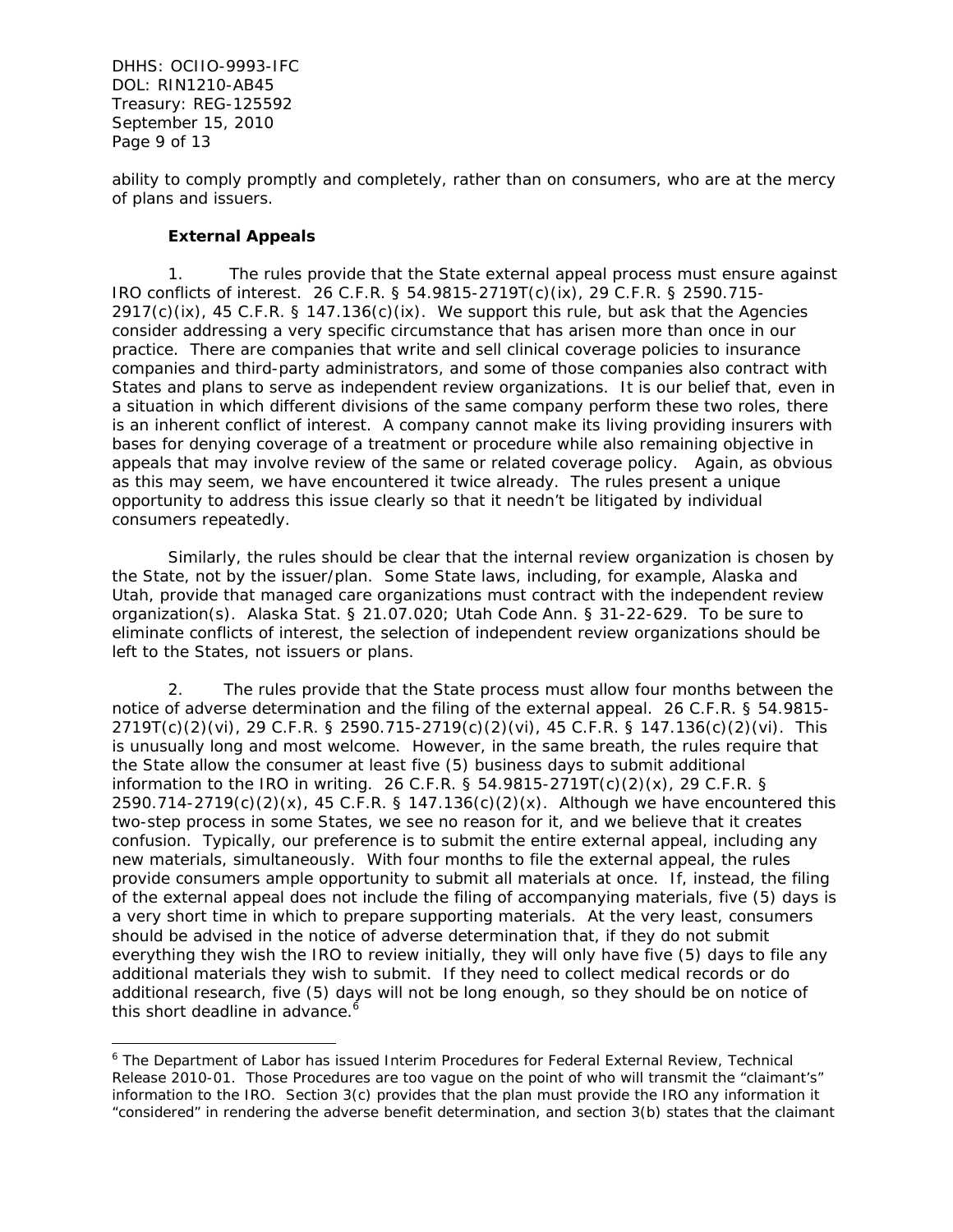DHHS: OCIIO-9993-IFC DOL: RIN1210-AB45 Treasury: REG-125592 September 15, 2010 Page 9 of 13

 $\overline{a}$ 

ability to comply promptly and completely, rather than on consumers, who are at the mercy of plans and issuers.

# **External Appeals**

1. The rules provide that the State external appeal process must ensure against IRO conflicts of interest. 26 C.F.R. § 54.9815-2719T(c)(ix), 29 C.F.R. § 2590.715-  $2917(c)(ix)$ , 45 C.F.R. § 147.136(c)(ix). We support this rule, but ask that the Agencies consider addressing a very specific circumstance that has arisen more than once in our practice. There are companies that write and sell clinical coverage policies to insurance companies and third-party administrators, and some of those companies also contract with States and plans to serve as independent review organizations. It is our belief that, even in a situation in which different divisions of the same company perform these two roles, there is an inherent conflict of interest. A company cannot make its living providing insurers with bases for denying coverage of a treatment or procedure while also remaining objective in appeals that may involve review of the same or related coverage policy. Again, as obvious as this may seem, we have encountered it twice already. The rules present a unique opportunity to address this issue clearly so that it needn't be litigated by individual consumers repeatedly.

Similarly, the rules should be clear that the internal review organization is chosen by the State, not by the issuer/plan. Some State laws, including, for example, Alaska and Utah, provide that managed care organizations must contract with the independent review organization(s). Alaska Stat. § 21.07.020; Utah Code Ann. § 31-22-629. To be sure to eliminate conflicts of interest, the selection of independent review organizations should be left to the States, not issuers or plans.

2. The rules provide that the State process must allow four months between the notice of adverse determination and the filing of the external appeal. 26 C.F.R. § 54.9815- 2719T(c)(2)(vi), 29 C.F.R. § 2590.715-2719(c)(2)(vi), 45 C.F.R. § 147.136(c)(2)(vi). This is unusually long and most welcome. However, in the same breath, the rules require that the State allow the consumer at least five (5) business days to submit additional information to the IRO in writing. 26 C.F.R. § 54.9815-2719T(c)(2)(x), 29 C.F.R. §  $2590.714 - 2719(c)(2)(x)$ , 45 C.F.R. § 147.136(c)(2)(x). Although we have encountered this two-step process in some States, we see no reason for it, and we believe that it creates confusion. Typically, our preference is to submit the entire external appeal, including any new materials, simultaneously. With four months to file the external appeal, the rules provide consumers ample opportunity to submit all materials at once. If, instead, the filing of the external appeal does not include the filing of accompanying materials, five (5) days is a very short time in which to prepare supporting materials. At the very least, consumers should be advised in the notice of adverse determination that, if they do not submit everything they wish the IRO to review initially, they will only have five (5) days to file any additional materials they wish to submit. If they need to collect medical records or do additional research, five (5) days will not be long enough, so they should be on notice of this short deadline in advance.<sup>6</sup>

<sup>&</sup>lt;sup>6</sup> The Department of Labor has issued Interim Procedures for Federal External Review, Technical Release 2010-01. Those Procedures are too vague on the point of who will transmit the "claimant's" information to the IRO. Section 3(c) provides that the plan must provide the IRO any information it "considered" in rendering the adverse benefit determination, and section 3(b) states that the claimant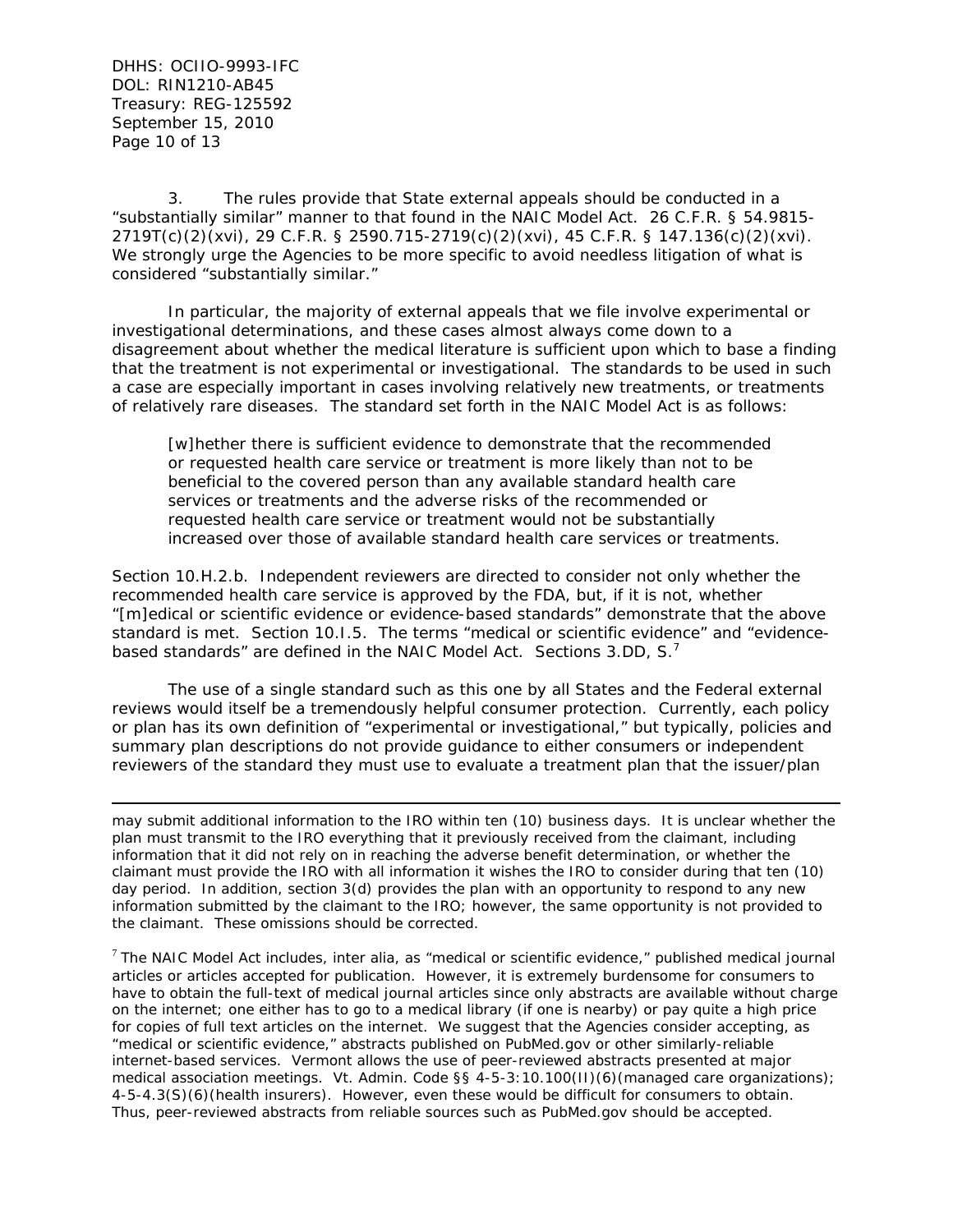DHHS: OCIIO-9993-IFC DOL: RIN1210-AB45 Treasury: REG-125592 September 15, 2010 Page 10 of 13

 $\overline{a}$ 

3. The rules provide that State external appeals should be conducted in a "substantially similar" manner to that found in the NAIC Model Act. 26 C.F.R. § 54.9815- 2719T(c)(2)(xvi), 29 C.F.R. § 2590.715-2719(c)(2)(xvi), 45 C.F.R. § 147.136(c)(2)(xvi). We strongly urge the Agencies to be more specific to avoid needless litigation of what is considered "substantially similar."

In particular, the majority of external appeals that we file involve experimental or investigational determinations, and these cases almost always come down to a disagreement about whether the medical literature is sufficient upon which to base a finding that the treatment is not experimental or investigational. The standards to be used in such a case are especially important in cases involving relatively new treatments, or treatments of relatively rare diseases. The standard set forth in the NAIC Model Act is as follows:

[w]hether there is sufficient evidence to demonstrate that the recommended or requested health care service or treatment is more likely than not to be beneficial to the covered person than any available standard health care services or treatments and the adverse risks of the recommended or requested health care service or treatment would not be substantially increased over those of available standard health care services or treatments.

Section 10.H.2.b. Independent reviewers are directed to consider not only whether the recommended health care service is approved by the FDA, but, if it is not, whether "[m]edical or scientific evidence or evidence-based standards" demonstrate that the above standard is met. Section 10.I.5. The terms "medical or scientific evidence" and "evidencebased standards" are defined in the NAIC Model Act. Sections 3.DD, S.<sup>7</sup>

 The use of a single standard such as this one by all States and the Federal external reviews would itself be a tremendously helpful consumer protection. Currently, each policy or plan has its own definition of "experimental or investigational," but typically, policies and summary plan descriptions do not provide guidance to either consumers or independent reviewers of the standard they must use to evaluate a treatment plan that the issuer/plan

may submit additional information to the IRO within ten (10) business days. It is unclear whether the plan must transmit to the IRO everything that it previously received from the claimant, including information that it did not rely on in reaching the adverse benefit determination, or whether the claimant must provide the IRO with all information it wishes the IRO to consider during that ten (10) day period. In addition, section 3(d) provides the plan with an opportunity to respond to any new information submitted by the claimant to the IRO; however, the same opportunity is not provided to the claimant. These omissions should be corrected.

<sup>7</sup> The NAIC Model Act includes, *inter alia*, as "medical or scientific evidence," published medical journal articles or articles accepted for publication. However, it is extremely burdensome for consumers to have to obtain the full-text of medical journal articles since only abstracts are available without charge on the internet; one either has to go to a medical library (if one is nearby) or pay quite a high price for copies of full text articles on the internet. We suggest that the Agencies consider accepting, as "medical or scientific evidence," abstracts published on PubMed.gov or other similarly-reliable internet-based services. Vermont allows the use of peer-reviewed abstracts presented at major medical association meetings. Vt. Admin. Code §§ 4-5-3:10.100(II)(6)(managed care organizations); 4-5-4.3(S)(6)(health insurers). However, even these would be difficult for consumers to obtain. Thus, peer-reviewed abstracts from reliable sources such as PubMed.gov should be accepted.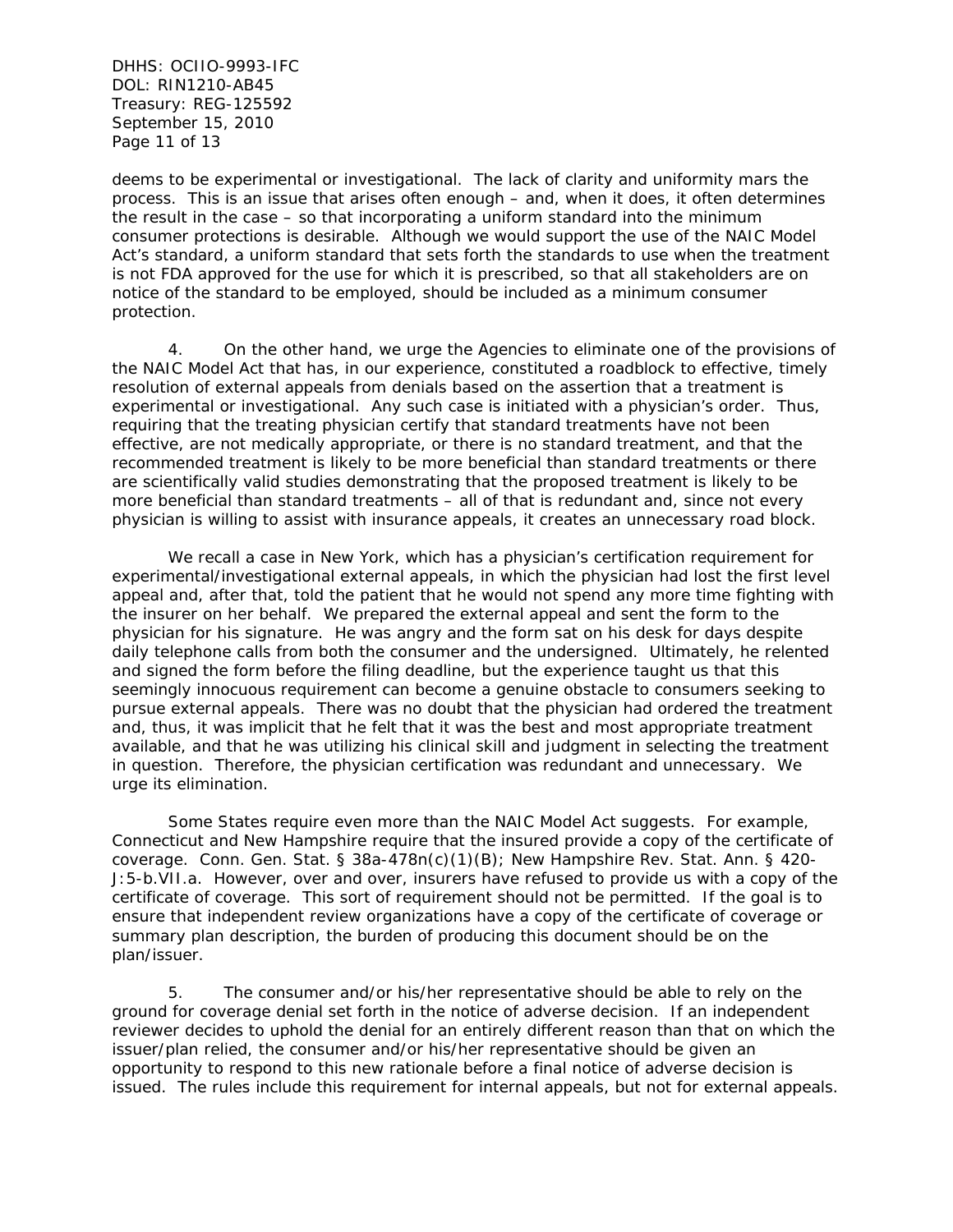DHHS: OCIIO-9993-IFC DOL: RIN1210-AB45 Treasury: REG-125592 September 15, 2010 Page 11 of 13

deems to be experimental or investigational. The lack of clarity and uniformity mars the process. This is an issue that arises often enough – and, when it does, it often determines the result in the case – so that incorporating a uniform standard into the minimum consumer protections is desirable. Although we would support the use of the NAIC Model Act's standard, a uniform standard that sets forth the standards to use when the treatment is not FDA approved for the use for which it is prescribed, so that all stakeholders are on notice of the standard to be employed, should be included as a minimum consumer protection.

4. On the other hand, we urge the Agencies to eliminate one of the provisions of the NAIC Model Act that has, in our experience, constituted a roadblock to effective, timely resolution of external appeals from denials based on the assertion that a treatment is experimental or investigational. Any such case is initiated with a physician's order. Thus, requiring that the treating physician certify that standard treatments have not been effective, are not medically appropriate, or there is no standard treatment, and that the recommended treatment is likely to be more beneficial than standard treatments or there are scientifically valid studies demonstrating that the proposed treatment is likely to be more beneficial than standard treatments – all of that is redundant and, since not every physician is willing to assist with insurance appeals, it creates an unnecessary road block.

We recall a case in New York, which has a physician's certification requirement for experimental/investigational external appeals, in which the physician had lost the first level appeal and, after that, told the patient that he would not spend any more time fighting with the insurer on her behalf. We prepared the external appeal and sent the form to the physician for his signature. He was angry and the form sat on his desk for days despite daily telephone calls from both the consumer and the undersigned. Ultimately, he relented and signed the form before the filing deadline, but the experience taught us that this seemingly innocuous requirement can become a genuine obstacle to consumers seeking to pursue external appeals. There was no doubt that the physician had ordered the treatment and, thus, it was implicit that he felt that it was the best and most appropriate treatment available, and that he was utilizing his clinical skill and judgment in selecting the treatment in question. Therefore, the physician certification was redundant and unnecessary. We urge its elimination.

Some States require even more than the NAIC Model Act suggests. For example, Connecticut and New Hampshire require that the insured provide a copy of the certificate of coverage. Conn. Gen. Stat. § 38a-478n(c)(1)(B); New Hampshire Rev. Stat. Ann. § 420- J:5-b.VII.a. However, over and over, insurers have refused to provide us with a copy of the certificate of coverage. This sort of requirement should not be permitted. If the goal is to ensure that independent review organizations have a copy of the certificate of coverage or summary plan description, the burden of producing this document should be on the plan/issuer.

5. The consumer and/or his/her representative should be able to rely on the ground for coverage denial set forth in the notice of adverse decision. If an independent reviewer decides to uphold the denial for an entirely different reason than that on which the issuer/plan relied, the consumer and/or his/her representative should be given an opportunity to respond to this new rationale before a final notice of adverse decision is issued. The rules include this requirement for internal appeals, but not for external appeals.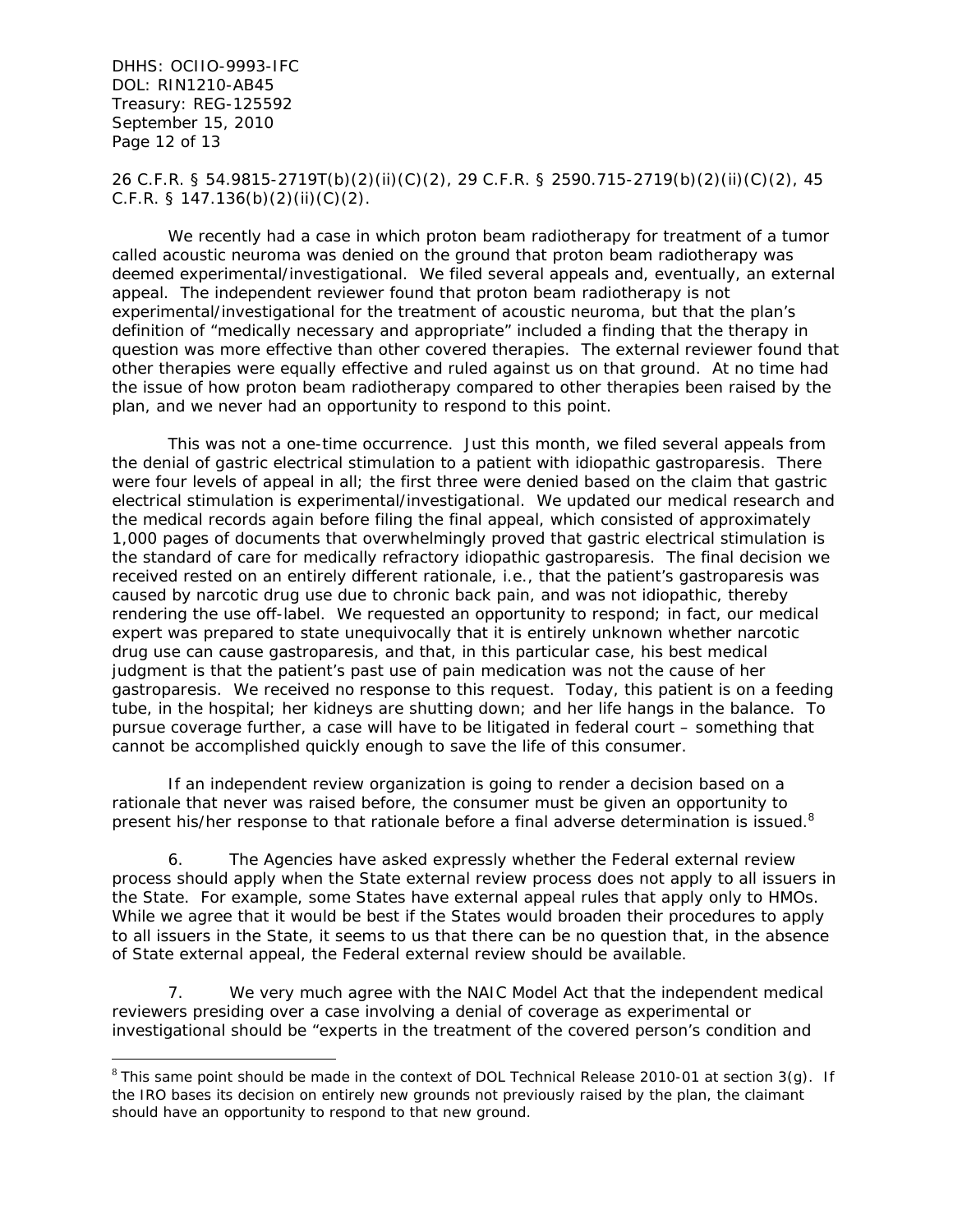DHHS: OCIIO-9993-IFC DOL: RIN1210-AB45 Treasury: REG-125592 September 15, 2010 Page 12 of 13

 $\overline{a}$ 

26 C.F.R. § 54.9815-2719T(b)(2)(ii)(C)(2), 29 C.F.R. § 2590.715-2719(b)(2)(ii)(C)(2), 45 C.F.R. § 147.136(b)(2)(ii)(C)(2).

We recently had a case in which proton beam radiotherapy for treatment of a tumor called acoustic neuroma was denied on the ground that proton beam radiotherapy was deemed experimental/investigational. We filed several appeals and, eventually, an external appeal. The independent reviewer found that proton beam radiotherapy is not experimental/investigational for the treatment of acoustic neuroma, but that the plan's definition of "medically necessary and appropriate" included a finding that the therapy in question was more effective than other covered therapies. The external reviewer found that other therapies were equally effective and ruled against us on that ground. At no time had the issue of how proton beam radiotherapy compared to other therapies been raised by the plan, and we never had an opportunity to respond to this point.

 This was not a one-time occurrence. Just this month, we filed several appeals from the denial of gastric electrical stimulation to a patient with idiopathic gastroparesis. There were four levels of appeal in all; the first three were denied based on the claim that gastric electrical stimulation is experimental/investigational. We updated our medical research and the medical records again before filing the final appeal, which consisted of approximately 1,000 pages of documents that overwhelmingly proved that gastric electrical stimulation is the standard of care for medically refractory idiopathic gastroparesis. The final decision we received rested on an entirely different rationale, i.e., that the patient's gastroparesis was caused by narcotic drug use due to chronic back pain, and was not idiopathic, thereby rendering the use off-label. We requested an opportunity to respond; in fact, our medical expert was prepared to state unequivocally that it is entirely unknown whether narcotic drug use can cause gastroparesis, and that, in this particular case, his best medical judgment is that the patient's past use of pain medication was not the cause of her gastroparesis. We received no response to this request. Today, this patient is on a feeding tube, in the hospital; her kidneys are shutting down; and her life hangs in the balance. To pursue coverage further, a case will have to be litigated in federal court – something that cannot be accomplished quickly enough to save the life of this consumer.

 If an independent review organization is going to render a decision based on a rationale that never was raised before, the consumer must be given an opportunity to present his/her response to that rationale before a final adverse determination is issued.<sup>8</sup>

6. The Agencies have asked expressly whether the Federal external review process should apply when the State external review process does not apply to all issuers in the State. For example, some States have external appeal rules that apply only to HMOs. While we agree that it would be best if the States would broaden their procedures to apply to all issuers in the State, it seems to us that there can be no question that, in the absence of State external appeal, the Federal external review should be available.

7. We very much agree with the NAIC Model Act that the independent medical reviewers presiding over a case involving a denial of coverage as experimental or investigational should be "experts in the treatment of the covered person's condition and

 $8$  This same point should be made in the context of DOL Technical Release 2010-01 at section 3(g). If the IRO bases its decision on entirely new grounds not previously raised by the plan, the claimant should have an opportunity to respond to that new ground.